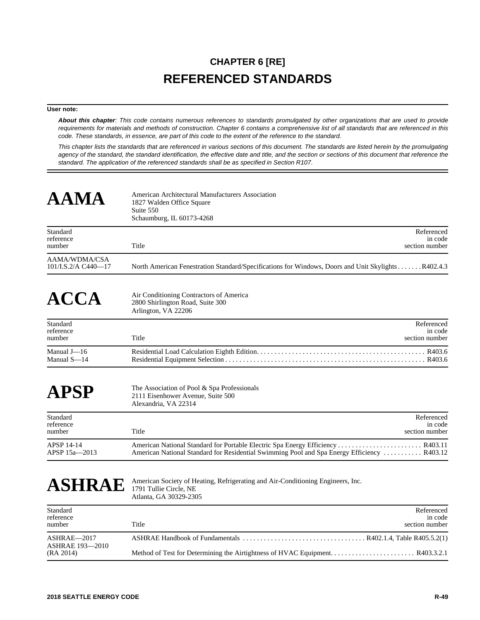## **CHAPTER 6 [RE] REFERENCED STANDARDS**

## **User note:**

*About this chapter: This code contains numerous references to standards promulgated by other organizations that are used to provide requirements for materials and methods of construction. Chapter 6 contains a comprehensive list of all standards that are referenced in this code. These standards, in essence, are part of this code to the extent of the reference to the standard.*

*This chapter lists the standards that are referenced in various sections of this document. The standards are listed herein by the promulgating agency of the standard, the standard identification, the effective date and title, and the section or sections of this document that reference the standard. The application of the referenced standards shall be as specified in Section R107.*

| <b>AAMA</b>                          | American Architectural Manufacturers Association<br>1827 Walden Office Square<br>Suite 550<br>Schaumburg, IL 60173-4268                                                        |
|--------------------------------------|--------------------------------------------------------------------------------------------------------------------------------------------------------------------------------|
| Standard<br>reference<br>number      | Referenced<br>in code<br>Title<br>section number                                                                                                                               |
| AAMA/WDMA/CSA<br>101/I.S.2/A C440-17 | North American Fenestration Standard/Specifications for Windows, Doors and Unit SkylightsR402.4.3                                                                              |
| $\bf{ACC}$                           | Air Conditioning Contractors of America<br>2800 Shirlington Road, Suite 300<br>Arlington, VA 22206                                                                             |
| Standard<br>reference<br>number      | Referenced<br>in code<br>Title<br>section number                                                                                                                               |
| Manual J-16<br>Manual S-14           |                                                                                                                                                                                |
| APSP                                 | The Association of Pool & Spa Professionals<br>2111 Eisenhower Avenue, Suite 500<br>Alexandria, VA 22314                                                                       |
| Standard<br>reference<br>number      | Referenced<br>in code<br>Title<br>section number                                                                                                                               |
| APSP 14-14<br>APSP 15a—2013          | American National Standard for Portable Electric Spa Energy Efficiency  R403.11<br>American National Standard for Residential Swimming Pool and Spa Energy Efficiency  R403.12 |
| <b>ASHRAE</b>                        | American Society of Heating, Refrigerating and Air-Conditioning Engineers, Inc.<br>1791 Tullie Circle, NE<br>Atlanta, GA 30329-2305                                            |
| Standard<br>reference<br>number      | Referenced<br>in code<br>Title<br>section number                                                                                                                               |
| ASHRAE-2017<br>ASHRAE 193-2010       |                                                                                                                                                                                |

(RA 2014) Method of Test for Determining the Airtightness of HVAC Equipment. . . . . . . . . . . . . . . . . . . . . . . . R403.3.2.1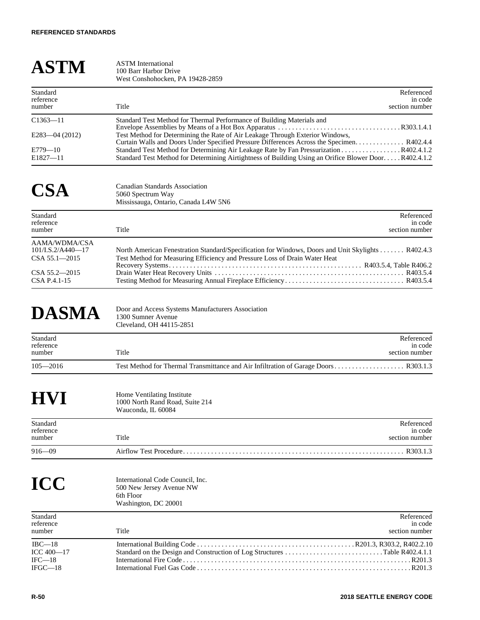| <b>ASTM</b>                                                                          | <b>ASTM</b> International<br>100 Barr Harbor Drive<br>West Conshohocken, PA 19428-2859                                                                                                                                                                                                                                                                    |
|--------------------------------------------------------------------------------------|-----------------------------------------------------------------------------------------------------------------------------------------------------------------------------------------------------------------------------------------------------------------------------------------------------------------------------------------------------------|
| Standard<br>reference<br>number                                                      | Referenced<br>in code<br>Title<br>section number                                                                                                                                                                                                                                                                                                          |
| $C1363 - 11$<br>$E283 - 04(2012)$<br>$E779 - 10$<br>$E1827 - 11$                     | Standard Test Method for Thermal Performance of Building Materials and<br>Test Method for Determining the Rate of Air Leakage Through Exterior Windows,<br>Standard Test Method for Determining Air Leakage Rate by Fan Pressurization R402.4.1.2<br>Standard Test Method for Determining Airtightness of Building Using an Orifice Blower DoorR402.4.1.2 |
| <b>CSA</b>                                                                           | <b>Canadian Standards Association</b><br>5060 Spectrum Way<br>Mississauga, Ontario, Canada L4W 5N6                                                                                                                                                                                                                                                        |
| Standard<br>reference<br>number                                                      | Referenced<br>in code<br>Title<br>section number                                                                                                                                                                                                                                                                                                          |
| AAMA/WDMA/CSA<br>101/I.S.2/A440-17<br>CSA 55.1-2015<br>CSA 55.2-2015<br>CSA P.4.1-15 | North American Fenestration Standard/Specification for Windows, Doors and Unit Skylights R402.4.3<br>Test Method for Measuring Efficiency and Pressure Loss of Drain Water Heat                                                                                                                                                                           |
| <b>DASMA</b>                                                                         | Door and Access Systems Manufacturers Association<br>1300 Sumner Avenue<br>Cleveland, OH 44115-2851                                                                                                                                                                                                                                                       |
| Standard<br>reference<br>number                                                      | Referenced<br>in code<br>Title<br>section number                                                                                                                                                                                                                                                                                                          |
| $105 - 2016$                                                                         |                                                                                                                                                                                                                                                                                                                                                           |
|                                                                                      | Home Ventilating Institute<br>1000 North Rand Road, Suite 214<br>Wauconda, IL 60084                                                                                                                                                                                                                                                                       |
| Standard<br>reference<br>number                                                      | Referenced<br>in code<br>Title<br>section number                                                                                                                                                                                                                                                                                                          |
| $916 - 09$                                                                           |                                                                                                                                                                                                                                                                                                                                                           |
| ICC                                                                                  | International Code Council. Inc.<br>500 New Jersey Avenue NW<br>6th Floor<br>Washington, DC 20001                                                                                                                                                                                                                                                         |
| Standard<br>reference<br>number                                                      | Referenced<br>in code<br>Title<br>section number                                                                                                                                                                                                                                                                                                          |
| $IBC-18$<br>$ICC 400 - 17$<br>$IFC-18$<br>$IFGC-18$                                  |                                                                                                                                                                                                                                                                                                                                                           |